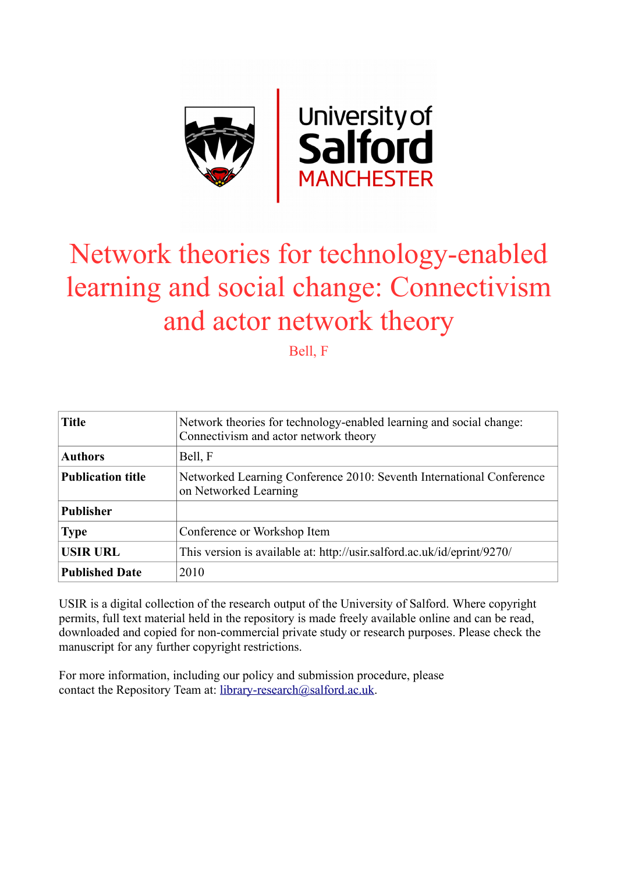

# Network theories for technology-enabled learning and social change: Connectivism and actor network theory

Bell, F

| <b>Title</b>             | Network theories for technology-enabled learning and social change:<br>Connectivism and actor network theory |  |  |
|--------------------------|--------------------------------------------------------------------------------------------------------------|--|--|
| <b>Authors</b>           | Bell, F                                                                                                      |  |  |
| <b>Publication title</b> | Networked Learning Conference 2010: Seventh International Conference<br>on Networked Learning                |  |  |
| <b>Publisher</b>         |                                                                                                              |  |  |
| <b>Type</b>              | Conference or Workshop Item                                                                                  |  |  |
| <b>USIR URL</b>          | This version is available at: http://usir.salford.ac.uk/id/eprint/9270/                                      |  |  |
| <b>Published Date</b>    | 2010                                                                                                         |  |  |

USIR is a digital collection of the research output of the University of Salford. Where copyright permits, full text material held in the repository is made freely available online and can be read, downloaded and copied for non-commercial private study or research purposes. Please check the manuscript for any further copyright restrictions.

For more information, including our policy and submission procedure, please contact the Repository Team at: [library-research@salford.ac.uk.](mailto:library-research@salford.ac.uk)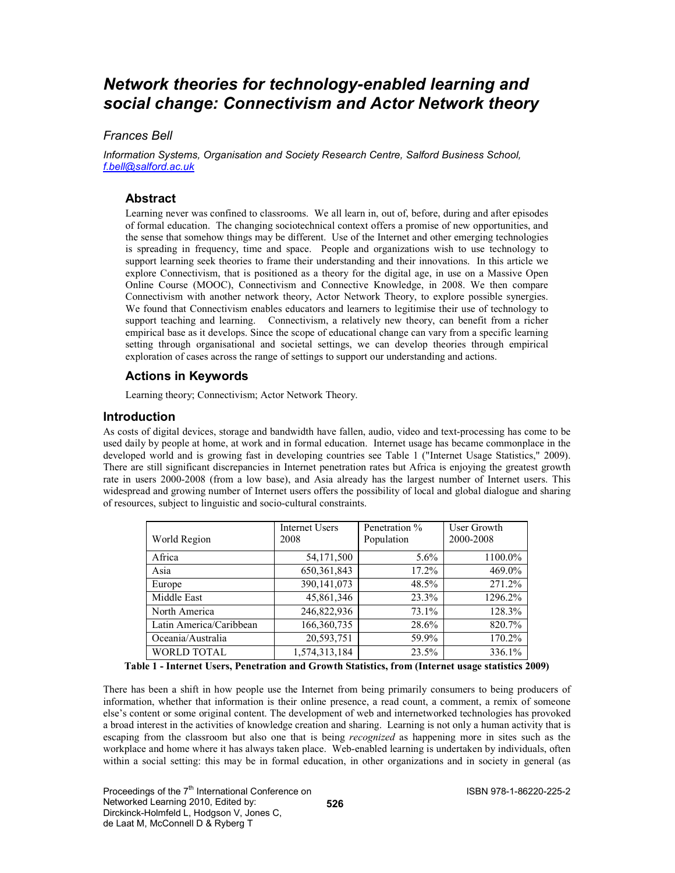# Network theories for technology-enabled learning and social change: Connectivism and Actor Network theory

# Frances Bell

Information Systems, Organisation and Society Research Centre, Salford Business School, f.bell@salford.ac.uk

# **Abstract**

Learning never was confined to classrooms. We all learn in, out of, before, during and after episodes of formal education. The changing sociotechnical context offers a promise of new opportunities, and the sense that somehow things may be different. Use of the Internet and other emerging technologies is spreading in frequency, time and space. People and organizations wish to use technology to support learning seek theories to frame their understanding and their innovations. In this article we explore Connectivism, that is positioned as a theory for the digital age, in use on a Massive Open Online Course (MOOC), Connectivism and Connective Knowledge, in 2008. We then compare Connectivism with another network theory, Actor Network Theory, to explore possible synergies. We found that Connectivism enables educators and learners to legitimise their use of technology to support teaching and learning. Connectivism, a relatively new theory, can benefit from a richer empirical base as it develops. Since the scope of educational change can vary from a specific learning setting through organisational and societal settings, we can develop theories through empirical exploration of cases across the range of settings to support our understanding and actions.

# Actions in Keywords

Learning theory; Connectivism; Actor Network Theory.

# Introduction

As costs of digital devices, storage and bandwidth have fallen, audio, video and text-processing has come to be used daily by people at home, at work and in formal education. Internet usage has became commonplace in the developed world and is growing fast in developing countries see Table 1 ("Internet Usage Statistics," 2009). There are still significant discrepancies in Internet penetration rates but Africa is enjoying the greatest growth rate in users 2000-2008 (from a low base), and Asia already has the largest number of Internet users. This widespread and growing number of Internet users offers the possibility of local and global dialogue and sharing of resources, subject to linguistic and socio-cultural constraints.

| World Region            | <b>Internet Users</b><br>2008 | Penetration %<br>Population | User Growth<br>2000-2008 |
|-------------------------|-------------------------------|-----------------------------|--------------------------|
| Africa                  | 54, 171, 500                  | $5.6\%$                     | 1100.0%                  |
| Asia                    | 650, 361, 843                 | $17.2\%$                    | 469.0%                   |
| Europe                  | 390,141,073                   | 48.5%                       | 271.2%                   |
| Middle East             | 45,861,346                    | 23.3%                       | 1296.2%                  |
| North America           | 246,822,936                   | 73.1%                       | 128.3%                   |
| Latin America/Caribbean | 166, 360, 735                 | 28.6%                       | 820.7%                   |
| Oceania/Australia       | 20,593,751                    | 59.9%                       | 170.2%                   |
| <b>WORLD TOTAL</b>      | 1,574,313,184                 | 23.5%                       | 336.1%                   |

Table 1 - Internet Users, Penetration and Growth Statistics, from (Internet usage statistics 2009)

There has been a shift in how people use the Internet from being primarily consumers to being producers of information, whether that information is their online presence, a read count, a comment, a remix of someone else's content or some original content. The development of web and internetworked technologies has provoked a broad interest in the activities of knowledge creation and sharing. Learning is not only a human activity that is escaping from the classroom but also one that is being *recognized* as happening more in sites such as the workplace and home where it has always taken place. Web-enabled learning is undertaken by individuals, often within a social setting: this may be in formal education, in other organizations and in society in general (as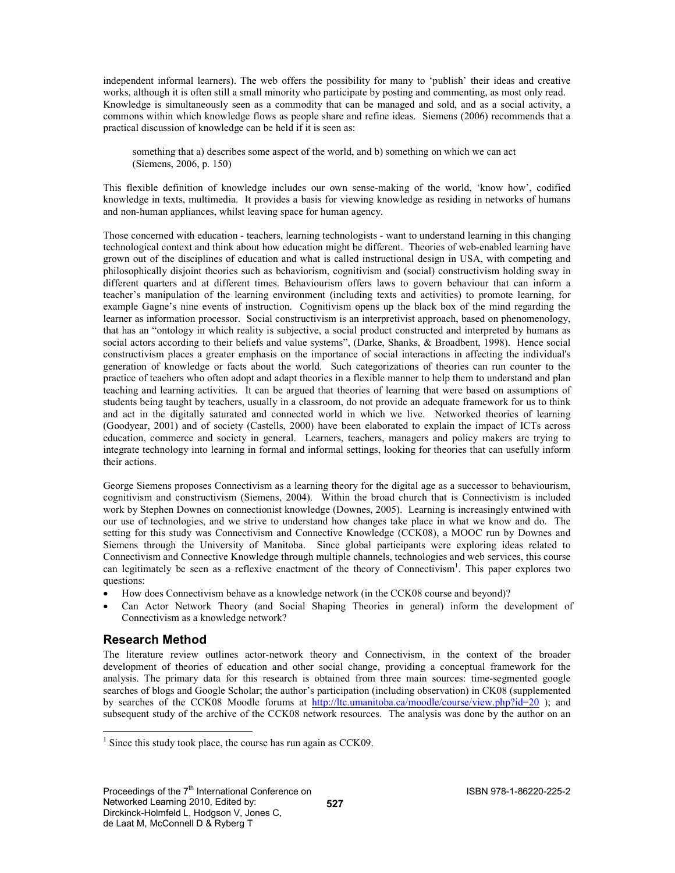independent informal learners). The web offers the possibility for many to 'publish' their ideas and creative works, although it is often still a small minority who participate by posting and commenting, as most only read. Knowledge is simultaneously seen as a commodity that can be managed and sold, and as a social activity, a commons within which knowledge flows as people share and refine ideas. Siemens (2006) recommends that a practical discussion of knowledge can be held if it is seen as:

something that a) describes some aspect of the world, and b) something on which we can act (Siemens, 2006, p. 150)

This flexible definition of knowledge includes our own sense-making of the world, 'know how', codified knowledge in texts, multimedia. It provides a basis for viewing knowledge as residing in networks of humans and non-human appliances, whilst leaving space for human agency.

Those concerned with education - teachers, learning technologists - want to understand learning in this changing technological context and think about how education might be different. Theories of web-enabled learning have grown out of the disciplines of education and what is called instructional design in USA, with competing and philosophically disjoint theories such as behaviorism, cognitivism and (social) constructivism holding sway in different quarters and at different times. Behaviourism offers laws to govern behaviour that can inform a teacher's manipulation of the learning environment (including texts and activities) to promote learning, for example Gagne's nine events of instruction. Cognitivism opens up the black box of the mind regarding the learner as information processor. Social constructivism is an interpretivist approach, based on phenomenology, that has an "ontology in which reality is subjective, a social product constructed and interpreted by humans as social actors according to their beliefs and value systems", (Darke, Shanks, & Broadbent, 1998). Hence social constructivism places a greater emphasis on the importance of social interactions in affecting the individual's generation of knowledge or facts about the world. Such categorizations of theories can run counter to the practice of teachers who often adopt and adapt theories in a flexible manner to help them to understand and plan teaching and learning activities. It can be argued that theories of learning that were based on assumptions of students being taught by teachers, usually in a classroom, do not provide an adequate framework for us to think and act in the digitally saturated and connected world in which we live. Networked theories of learning (Goodyear, 2001) and of society (Castells, 2000) have been elaborated to explain the impact of ICTs across education, commerce and society in general. Learners, teachers, managers and policy makers are trying to integrate technology into learning in formal and informal settings, looking for theories that can usefully inform their actions.

George Siemens proposes Connectivism as a learning theory for the digital age as a successor to behaviourism, cognitivism and constructivism (Siemens, 2004). Within the broad church that is Connectivism is included work by Stephen Downes on connectionist knowledge (Downes, 2005). Learning is increasingly entwined with our use of technologies, and we strive to understand how changes take place in what we know and do. The setting for this study was Connectivism and Connective Knowledge (CCK08), a MOOC run by Downes and Siemens through the University of Manitoba. Since global participants were exploring ideas related to Connectivism and Connective Knowledge through multiple channels, technologies and web services, this course can legitimately be seen as a reflexive enactment of the theory of Connectivism<sup>1</sup>. This paper explores two questions:

- How does Connectivism behave as a knowledge network (in the CCK08 course and beyond)?
- Can Actor Network Theory (and Social Shaping Theories in general) inform the development of Connectivism as a knowledge network?

# Research Method

-

The literature review outlines actor-network theory and Connectivism, in the context of the broader development of theories of education and other social change, providing a conceptual framework for the analysis. The primary data for this research is obtained from three main sources: time-segmented google searches of blogs and Google Scholar; the author's participation (including observation) in CK08 (supplemented by searches of the CCK08 Moodle forums at http://ltc.umanitoba.ca/moodle/course/view.php?id=20 ); and subsequent study of the archive of the CCK08 network resources. The analysis was done by the author on an

<sup>&</sup>lt;sup>1</sup> Since this study took place, the course has run again as CCK09.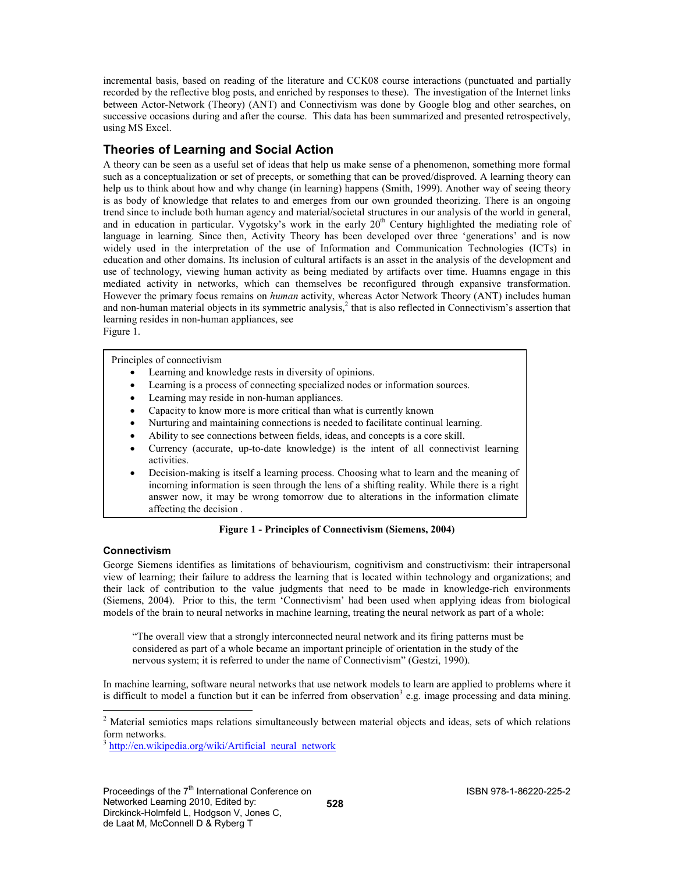incremental basis, based on reading of the literature and CCK08 course interactions (punctuated and partially recorded by the reflective blog posts, and enriched by responses to these). The investigation of the Internet links between Actor-Network (Theory) (ANT) and Connectivism was done by Google blog and other searches, on successive occasions during and after the course. This data has been summarized and presented retrospectively, using MS Excel.

# Theories of Learning and Social Action

A theory can be seen as a useful set of ideas that help us make sense of a phenomenon, something more formal such as a conceptualization or set of precepts, or something that can be proved/disproved. A learning theory can help us to think about how and why change (in learning) happens (Smith, 1999). Another way of seeing theory is as body of knowledge that relates to and emerges from our own grounded theorizing. There is an ongoing trend since to include both human agency and material/societal structures in our analysis of the world in general, and in education in particular. Vygotsky's work in the early  $20<sup>th</sup>$  Century highlighted the mediating role of language in learning. Since then, Activity Theory has been developed over three 'generations' and is now widely used in the interpretation of the use of Information and Communication Technologies (ICTs) in education and other domains. Its inclusion of cultural artifacts is an asset in the analysis of the development and use of technology, viewing human activity as being mediated by artifacts over time. Huamns engage in this mediated activity in networks, which can themselves be reconfigured through expansive transformation. However the primary focus remains on *human* activity, whereas Actor Network Theory (ANT) includes human and non-human material objects in its symmetric analysis,<sup>2</sup> that is also reflected in Connectivism's assertion that learning resides in non-human appliances, see Figure 1.

Principles of connectivism

- Learning and knowledge rests in diversity of opinions.
- Learning is a process of connecting specialized nodes or information sources.
- Learning may reside in non-human appliances.
- Capacity to know more is more critical than what is currently known
- Nurturing and maintaining connections is needed to facilitate continual learning.
- Ability to see connections between fields, ideas, and concepts is a core skill.
- Currency (accurate, up-to-date knowledge) is the intent of all connectivist learning activities.
- Decision-making is itself a learning process. Choosing what to learn and the meaning of incoming information is seen through the lens of a shifting reality. While there is a right answer now, it may be wrong tomorrow due to alterations in the information climate affecting the decision .

#### Figure 1 - Principles of Connectivism (Siemens, 2004)

#### Connectivism

George Siemens identifies as limitations of behaviourism, cognitivism and constructivism: their intrapersonal view of learning; their failure to address the learning that is located within technology and organizations; and their lack of contribution to the value judgments that need to be made in knowledge-rich environments (Siemens, 2004). Prior to this, the term 'Connectivism' had been used when applying ideas from biological models of the brain to neural networks in machine learning, treating the neural network as part of a whole:

"The overall view that a strongly interconnected neural network and its firing patterns must be considered as part of a whole became an important principle of orientation in the study of the nervous system; it is referred to under the name of Connectivism" (Gestzi, 1990).

In machine learning, software neural networks that use network models to learn are applied to problems where it is difficult to model a function but it can be inferred from observation<sup>3</sup> e.g. image processing and data mining.

<sup>3</sup> http://en.wikipedia.org/wiki/Artificial\_neural\_network

 $\begin{array}{c} \hline \end{array}$ 

<sup>&</sup>lt;sup>2</sup> Material semiotics maps relations simultaneously between material objects and ideas, sets of which relations form networks.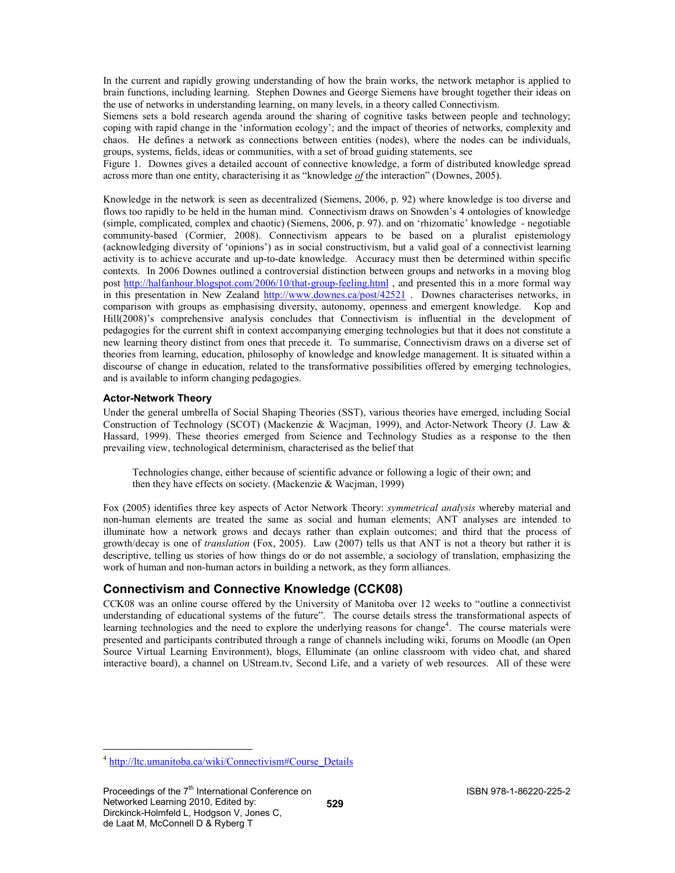In the current and rapidly growing understanding of how the brain works, the network metaphor is applied to brain functions, including learning. Stephen Downes and George Siemens have brought together their ideas on the use of networks in understanding learning, on many levels, in a theory called Connectivism.

Siemens sets a bold research agenda around the sharing of cognitive tasks between people and technology; coping with rapid change in the 'information ecology'; and the impact of theories of networks, complexity and chaos. He defines a network as connections between entities (nodes), where the nodes can be individuals, groups, systems, fields, ideas or communities, with a set of broad guiding statements, see

Figure 1. Downes gives a detailed account of connective knowledge, a form of distributed knowledge spread across more than one entity, characterising it as "knowledge  $of$  the interaction" (Downes, 2005).

Knowledge in the network is seen as decentralized (Siemens, 2006, p. 92) where knowledge is too diverse and flows too rapidly to be held in the human mind. Connectivism draws on Snowden's 4 ontologies of knowledge (simple, complicated, complex and chaotic) (Siemens, 2006, p. 97). and on 'rhizomatic' knowledge - negotiable community-based (Cormier, 2008). Connectivism appears to be based on a pluralist epistemology (acknowledging diversity of 'opinions') as in social constructivism, but a valid goal of a connectivist learning activity is to achieve accurate and up-to-date knowledge. Accuracy must then be determined within specific contexts. In 2006 Downes outlined a controversial distinction between groups and networks in a moving blog post http://halfanhour.blogspot.com/2006/10/that-group-feeling.html , and presented this in a more formal way in this presentation in New Zealand http://www.downes.ca/post/42521 . Downes characterises networks, in comparison with groups as emphasising diversity, autonomy, openness and emergent knowledge. Kop and Hill(2008)'s comprehensive analysis concludes that Connectivism is influential in the development of pedagogies for the current shift in context accompanying emerging technologies but that it does not constitute a new learning theory distinct from ones that precede it. To summarise, Connectivism draws on a diverse set of theories from learning, education, philosophy of knowledge and knowledge management. It is situated within a discourse of change in education, related to the transformative possibilities offered by emerging technologies, and is available to inform changing pedagogies.

#### Actor-Network Theory

Under the general umbrella of Social Shaping Theories (SST), various theories have emerged, including Social Construction of Technology (SCOT) (Mackenzie & Wacjman, 1999), and Actor-Network Theory (J. Law & Hassard, 1999). These theories emerged from Science and Technology Studies as a response to the then prevailing view, technological determinism, characterised as the belief that

Technologies change, either because of scientific advance or following a logic of their own; and then they have effects on society. (Mackenzie & Wacjman, 1999)

Fox (2005) identifies three key aspects of Actor Network Theory: symmetrical analysis whereby material and non-human elements are treated the same as social and human elements; ANT analyses are intended to illuminate how a network grows and decays rather than explain outcomes; and third that the process of growth/decay is one of translation (Fox, 2005). Law (2007) tells us that ANT is not a theory but rather it is descriptive, telling us stories of how things do or do not assemble, a sociology of translation, emphasizing the work of human and non-human actors in building a network, as they form alliances.

# Connectivism and Connective Knowledge (CCK08)

CCK08 was an online course offered by the University of Manitoba over 12 weeks to "outline a connectivist understanding of educational systems of the future". The course details stress the transformational aspects of learning technologies and the need to explore the underlying reasons for change<sup>4</sup>. The course materials were presented and participants contributed through a range of channels including wiki, forums on Moodle (an Open Source Virtual Learning Environment), blogs, Elluminate (an online classroom with video chat, and shared interactive board), a channel on UStream.tv, Second Life, and a variety of web resources. All of these were

<sup>-</sup><sup>4</sup> http://ltc.umanitoba.ca/wiki/Connectivism#Course\_Details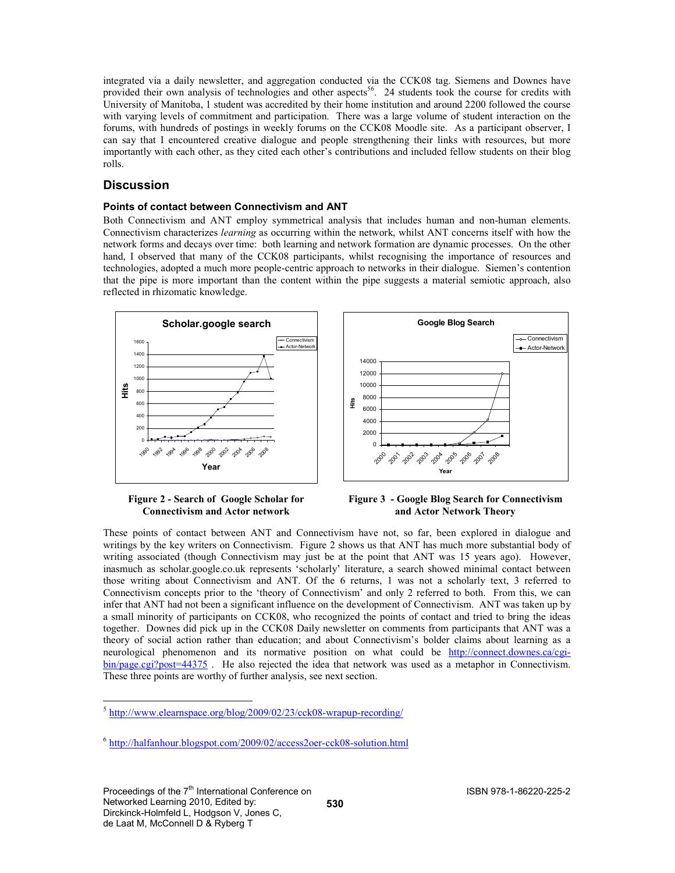integrated via a daily newsletter, and aggregation conducted via the CCK08 tag. Siemens and Downes have provided their own analysis of technologies and other aspects<sup>56</sup>. 24 students took the course for credits with University of Manitoba, 1 student was accredited by their home institution and around 2200 followed the course with varying levels of commitment and participation. There was a large volume of student interaction on the forums, with hundreds of postings in weekly forums on the CCK08 Moodle site. As a participant observer, I can say that I encountered creative dialogue and people strengthening their links with resources, but more importantly with each other, as they cited each other's contributions and included fellow students on their blog rolls.

# **Discussion**

#### Points of contact between Connectivism and ANT

Both Connectivism and ANT employ symmetrical analysis that includes human and non-human elements. Connectivism characterizes learning as occurring within the network, whilst ANT concerns itself with how the network forms and decays over time: both learning and network formation are dynamic processes. On the other hand, I observed that many of the CCK08 participants, whilst recognising the importance of resources and technologies, adopted a much more people-centric approach to networks in their dialogue. Siemen's contention that the pipe is more important than the content within the pipe suggests a material semiotic approach, also reflected in rhizomatic knowledge.





Figure 2 - Search of Google Scholar for Connectivism and Actor network

Figure 3 - Google Blog Search for Connectivism and Actor Network Theory

These points of contact between ANT and Connectivism have not, so far, been explored in dialogue and writings by the key writers on Connectivism. Figure 2 shows us that ANT has much more substantial body of writing associated (though Connectivism may just be at the point that ANT was 15 years ago). However, inasmuch as scholar.google.co.uk represents 'scholarly' literature, a search showed minimal contact between those writing about Connectivism and ANT. Of the 6 returns, 1 was not a scholarly text, 3 referred to Connectivism concepts prior to the 'theory of Connectivism' and only 2 referred to both. From this, we can infer that ANT had not been a significant influence on the development of Connectivism. ANT was taken up by a small minority of participants on CCK08, who recognized the points of contact and tried to bring the ideas together. Downes did pick up in the CCK08 Daily newsletter on comments from participants that ANT was a theory of social action rather than education; and about Connectivism's bolder claims about learning as a neurological phenomenon and its normative position on what could be http://connect.downes.ca/cgibin/page.cgi?post=44375 . He also rejected the idea that network was used as a metaphor in Connectivism. These three points are worthy of further analysis, see next section.

<sup>-</sup><sup>5</sup> http://www.elearnspace.org/blog/2009/02/23/cck08-wrapup-recording/

<sup>&</sup>lt;sup>6</sup> http://halfanhour.blogspot.com/2009/02/access2oer-cck08-solution.html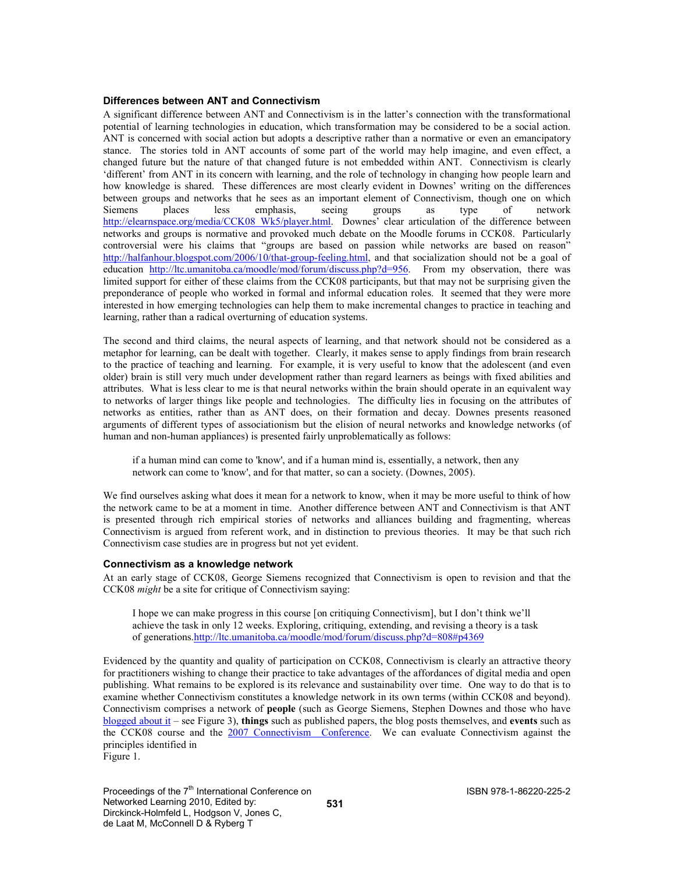#### Differences between ANT and Connectivism

A significant difference between ANT and Connectivism is in the latter's connection with the transformational potential of learning technologies in education, which transformation may be considered to be a social action. ANT is concerned with social action but adopts a descriptive rather than a normative or even an emancipatory stance. The stories told in ANT accounts of some part of the world may help imagine, and even effect, a changed future but the nature of that changed future is not embedded within ANT. Connectivism is clearly 'different' from ANT in its concern with learning, and the role of technology in changing how people learn and how knowledge is shared. These differences are most clearly evident in Downes' writing on the differences between groups and networks that he sees as an important element of Connectivism, though one on which Siemens places less emphasis, seeing groups as type of network http://elearnspace.org/media/CCK08\_Wk5/player.html. Downes' clear articulation of the difference between networks and groups is normative and provoked much debate on the Moodle forums in CCK08. Particularly controversial were his claims that "groups are based on passion while networks are based on reason" http://halfanhour.blogspot.com/2006/10/that-group-feeling.html, and that socialization should not be a goal of education http://ltc.umanitoba.ca/moodle/mod/forum/discuss.php?d=956. From my observation, there was limited support for either of these claims from the CCK08 participants, but that may not be surprising given the preponderance of people who worked in formal and informal education roles. It seemed that they were more interested in how emerging technologies can help them to make incremental changes to practice in teaching and learning, rather than a radical overturning of education systems.

The second and third claims, the neural aspects of learning, and that network should not be considered as a metaphor for learning, can be dealt with together. Clearly, it makes sense to apply findings from brain research to the practice of teaching and learning. For example, it is very useful to know that the adolescent (and even older) brain is still very much under development rather than regard learners as beings with fixed abilities and attributes. What is less clear to me is that neural networks within the brain should operate in an equivalent way to networks of larger things like people and technologies. The difficulty lies in focusing on the attributes of networks as entities, rather than as ANT does, on their formation and decay. Downes presents reasoned arguments of different types of associationism but the elision of neural networks and knowledge networks (of human and non-human appliances) is presented fairly unproblematically as follows:

if a human mind can come to 'know', and if a human mind is, essentially, a network, then any network can come to 'know', and for that matter, so can a society. (Downes, 2005).

We find ourselves asking what does it mean for a network to know, when it may be more useful to think of how the network came to be at a moment in time. Another difference between ANT and Connectivism is that ANT is presented through rich empirical stories of networks and alliances building and fragmenting, whereas Connectivism is argued from referent work, and in distinction to previous theories. It may be that such rich Connectivism case studies are in progress but not yet evident.

#### Connectivism as a knowledge network

At an early stage of CCK08, George Siemens recognized that Connectivism is open to revision and that the CCK08 might be a site for critique of Connectivism saying:

I hope we can make progress in this course [on critiquing Connectivism], but I don't think we'll achieve the task in only 12 weeks. Exploring, critiquing, extending, and revising a theory is a task of generations.http://ltc.umanitoba.ca/moodle/mod/forum/discuss.php?d=808#p4369

Evidenced by the quantity and quality of participation on CCK08, Connectivism is clearly an attractive theory for practitioners wishing to change their practice to take advantages of the affordances of digital media and open publishing. What remains to be explored is its relevance and sustainability over time. One way to do that is to examine whether Connectivism constitutes a knowledge network in its own terms (within CCK08 and beyond). Connectivism comprises a network of people (such as George Siemens, Stephen Downes and those who have blogged about it – see Figure 3), things such as published papers, the blog posts themselves, and events such as the CCK08 course and the 2007 Connectivism Conference. We can evaluate Connectivism against the principles identified in Figure 1.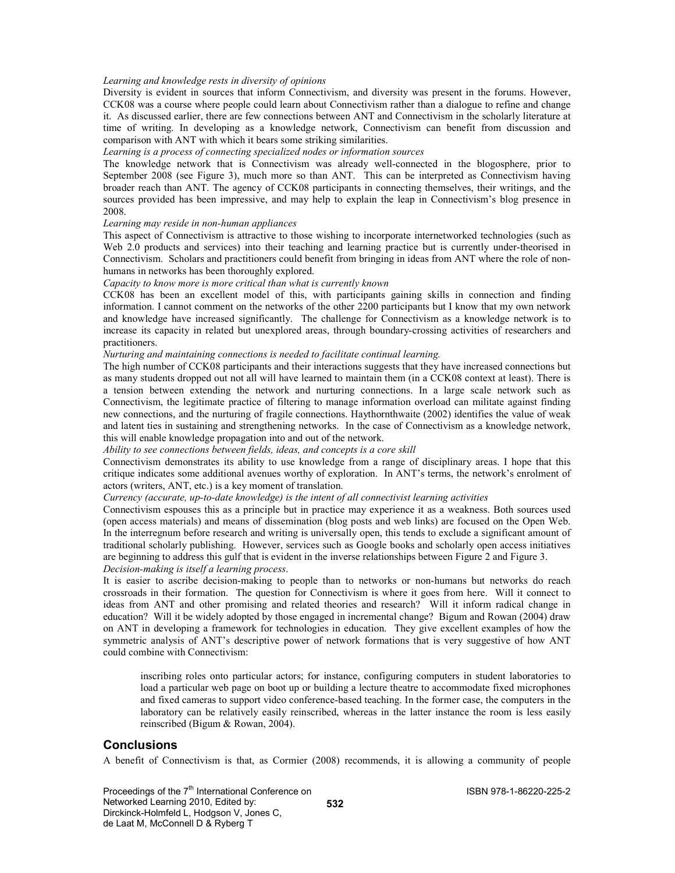#### Learning and knowledge rests in diversity of opinions

Diversity is evident in sources that inform Connectivism, and diversity was present in the forums. However, CCK08 was a course where people could learn about Connectivism rather than a dialogue to refine and change it. As discussed earlier, there are few connections between ANT and Connectivism in the scholarly literature at time of writing. In developing as a knowledge network, Connectivism can benefit from discussion and comparison with ANT with which it bears some striking similarities.

#### Learning is a process of connecting specialized nodes or information sources

The knowledge network that is Connectivism was already well-connected in the blogosphere, prior to September 2008 (see Figure 3), much more so than ANT. This can be interpreted as Connectivism having broader reach than ANT. The agency of CCK08 participants in connecting themselves, their writings, and the sources provided has been impressive, and may help to explain the leap in Connectivism's blog presence in 2008.

#### Learning may reside in non-human appliances

This aspect of Connectivism is attractive to those wishing to incorporate internetworked technologies (such as Web 2.0 products and services) into their teaching and learning practice but is currently under-theorised in Connectivism. Scholars and practitioners could benefit from bringing in ideas from ANT where the role of nonhumans in networks has been thoroughly explored.

#### Capacity to know more is more critical than what is currently known

CCK08 has been an excellent model of this, with participants gaining skills in connection and finding information. I cannot comment on the networks of the other 2200 participants but I know that my own network and knowledge have increased significantly. The challenge for Connectivism as a knowledge network is to increase its capacity in related but unexplored areas, through boundary-crossing activities of researchers and practitioners.

#### Nurturing and maintaining connections is needed to facilitate continual learning.

The high number of CCK08 participants and their interactions suggests that they have increased connections but as many students dropped out not all will have learned to maintain them (in a CCK08 context at least). There is a tension between extending the network and nurturing connections. In a large scale network such as Connectivism, the legitimate practice of filtering to manage information overload can militate against finding new connections, and the nurturing of fragile connections. Haythornthwaite (2002) identifies the value of weak and latent ties in sustaining and strengthening networks. In the case of Connectivism as a knowledge network, this will enable knowledge propagation into and out of the network.

Ability to see connections between fields, ideas, and concepts is a core skill

Connectivism demonstrates its ability to use knowledge from a range of disciplinary areas. I hope that this critique indicates some additional avenues worthy of exploration. In ANT's terms, the network's enrolment of actors (writers, ANT, etc.) is a key moment of translation.

#### Currency (accurate, up-to-date knowledge) is the intent of all connectivist learning activities

Connectivism espouses this as a principle but in practice may experience it as a weakness. Both sources used (open access materials) and means of dissemination (blog posts and web links) are focused on the Open Web. In the interregnum before research and writing is universally open, this tends to exclude a significant amount of traditional scholarly publishing. However, services such as Google books and scholarly open access initiatives are beginning to address this gulf that is evident in the inverse relationships between Figure 2 and Figure 3. Decision-making is itself a learning process.

It is easier to ascribe decision-making to people than to networks or non-humans but networks do reach crossroads in their formation. The question for Connectivism is where it goes from here. Will it connect to ideas from ANT and other promising and related theories and research? Will it inform radical change in education? Will it be widely adopted by those engaged in incremental change? Bigum and Rowan (2004) draw on ANT in developing a framework for technologies in education. They give excellent examples of how the symmetric analysis of ANT's descriptive power of network formations that is very suggestive of how ANT could combine with Connectivism:

inscribing roles onto particular actors; for instance, configuring computers in student laboratories to load a particular web page on boot up or building a lecture theatre to accommodate fixed microphones and fixed cameras to support video conference-based teaching. In the former case, the computers in the laboratory can be relatively easily reinscribed, whereas in the latter instance the room is less easily reinscribed (Bigum & Rowan, 2004).

#### Conclusions

A benefit of Connectivism is that, as Cormier (2008) recommends, it is allowing a community of people

Proceedings of the 7<sup>th</sup> International Conference on Networked Learning 2010, Edited by: Dirckinck-Holmfeld L, Hodgson V, Jones C, de Laat M, McConnell D & Ryberg T